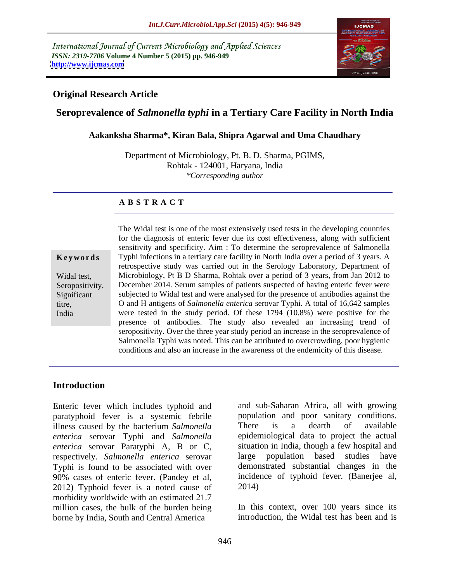International Journal of Current Microbiology and Applied Sciences *ISSN: 2319-7706* **Volume 4 Number 5 (2015) pp. 946-949 <http://www.ijcmas.com>**



## **Original Research Article**

# **Seroprevalence of** *Salmonella typhi* **in a Tertiary Care Facility in North India**

### **Aakanksha Sharma\*, Kiran Bala, Shipra Agarwal and Uma Chaudhary**

Department of Microbiology, Pt. B. D. Sharma, PGIMS, Rohtak - 124001, Haryana, India *\*Corresponding author*

### **A B S T R A C T**

India

The Widal test is one of the most extensively used tests in the developing countries for the diagnosis of enteric fever due its cost effectiveness, along with sufficient sensitivity and specificity. Aim : To determine the seroprevalence of Salmonella Typhi infections in a tertiary care facility in North India over a period of 3 years. A **Ke ywo rds** retrospective study was carried out in the Serology Laboratory, Department of Widal test, Microbiology, Pt B D Sharma, Rohtak over a period of 3 years, from Jan 2012 to Seropositivity, December 2014. Serum samples of patients suspected of having enteric fever were subjected to Widal test and were analysed for the presence of antibodies against the Significant O and H antigens of *Salmonella enterica* serovar Typhi. A total of 16,642 samples titre, were tested in the study period. Of these 1794 (10.8%) were positive for the presence of antibodies. The study also revealed an increasing trend of seropositivity. Over the three year study period an increase in the seroprevalence of Salmonella Typhi was noted. This can be attributed to overcrowding, poor hygienic conditions and also an increase in the awareness of the endemicity of this disease.

## **Introduction**

Enteric fever which includes typhoid and paratyphoid fever is a systemic febrile illness caused by the bacterium *Salmonella* There is a dearth of available *enterica* serovar Typhi and *Salmonella enterica* serovar Paratyphi A, B or C, respectively. *Salmonella enterica* serovar Typhi is found to be associated with over 90% cases of enteric fever. (Pandey et al, incidently not all incidently 2012) Typhoid fever is a noted cause of 2014) 2012) Typhoid fever is a noted cause of morbidity worldwide with an estimated 21.7 million cases, the bulk of the burden being borne by India, South and Central America

and sub-Saharan Africa, all with growing population and poor sanitary conditions. There is a dearth of available epidemiological data to project the actual situation in India, though a few hospital and large population based studies have demonstrated substantial changes in the incidence of typhoid fever. (Banerjee al, 2014)

In this context, over 100 years since its introduction, the Widal test has been and is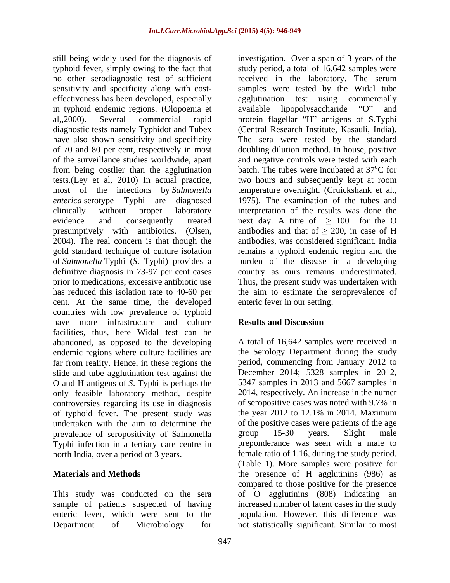still being widely used for the diagnosis of investigation. Over a span of 3 years of the typhoid fever, simply owing to the fact that study period, a total of 16,642 samples were no other serodiagnostic test of sufficient received in the laboratory. The serum sensitivity and specificity along with cost- samples were tested by the Widal tube effectiveness has been developed, especially agglutination test using commercially in typhoid endemic regions. (Olopoenia et al,,2000). Several commercial rapid protein flagellar "H" antigens of S.Typhi diagnostic tests namely Typhidot and Tubex (Central Research Institute, Kasauli, India). have also shown sensitivity and specificity The sera were tested by the standard of 70 and 80 per cent, respectively in most doubling dilution method. In house, positive of the surveillance studies worldwide, apart from being costlier than the agglutination tests.(Ley et al, 2010) In actual practice, most of the infections by *Salmonella*  temperature overnight. (Cruickshank et al., *enterica* serotype Typhi are diagnosed clinically without proper laboratory interpretation of the results was done the evidence and consequently treated next day. A titre of  $\geq 100$  for the O presumptively with antibiotics. (Olsen, 2004). The real concern is that though the gold standard technique of culture isolation remains a typhoid endemic region and the of *Salmonella* Typhi (*S*. Typhi) provides a burden of the disease in a developing definitive diagnosis in 73-97 per cent cases country as ours remains underestimated. prior to medications, excessive antibiotic use Thus, the present study was undertaken with has reduced this isolation rate to 40-60 per the aim to estimate the seroprevalence of cent. At the same time, the developed countries with low prevalence of typhoid have more infrastructure and culture **Results and Discussion** facilities, thus, here Widal test can be abandoned, as opposed to the developing endemic regions where culture facilities are the Serology Department during the study far from reality. Hence, in these regions the slide and tube agglutination test against the O and H antigens of *S*. Typhi is perhaps the only feasible laboratory method, despite controversies regarding its use in diagnosis of typhoid fever. The present study was the year 2012 to 12.1% in 2014. Maximum undertaken with the aim to determine the of the positive can<br>prevalence of seropositivity of Salmonella group 15-30 prevalence of seropositivity of Salmonella group 15-30 years. Slight male Typhi infection in a tertiary care centre in north India, over a period of 3 years. female ratio of 1.16, during the study period.

received in the laboratory. The serum available lipopolysaccharide "O" and and negative controls were tested with each batch. The tubes were incubated at 37<sup>o</sup>C for <sup>o</sup>C for two hours and subsequently kept at room 1975). The examination of the tubes and antibodies and that of  $> 200$ , in case of H antibodies, was considered significant. India enteric fever in our setting.

# **Results and Discussion**

**Materials and Methods** the presence of H agglutinins (986) as This study was conducted on the sera of O agglutinins (808) indicating an sample of patients suspected of having increased number of latent cases in the study enteric fever, which were sent to the population. However, this difference was Department of Microbiology for not statistically significant. Similar to mostA total of 16,642 samples were received in period, commencing from January 2012 to December 2014; 5328 samples in 2012, 5347 samples in 2013 and 5667 samples in 2014, respectively. An increase in the numer of seropositive cases was noted with 9.7% in of the positive cases were patients of the age group 15-30 years. Slight male preponderance was seen with a male to (Table 1). More samples were positive for compared to those positive for the presence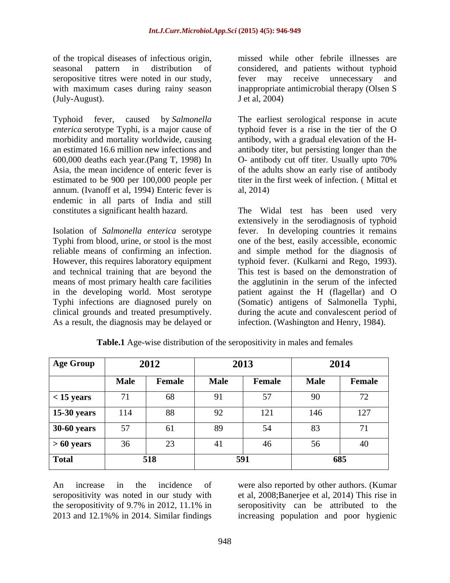of the tropical diseases of infectious origin, seropositive titres were noted in our study, ever may receive unnecessary and (July-August).

600,000 deaths each year.(Pang T, 1998) In annum. (Ivanoff et al, 1994) Enteric fever is endemic in all parts of India and still

means of most primary health care facilities Typhi infections are diagnosed purely on (Somatic) antigens of Salmonella Typhi, clinical grounds and treated presumptively. <br>during the acute and convalescent period of As a result, the diagnosis may be delayed or

seasonal pattern in distribution of considered, and patients without typhoid with maximum cases during rainy season inappropriate antimicrobial therapy (Olsen S missed while other febrile illnesses are fever may receive unnecessary and J et al, 2004)

Typhoid fever, caused by *Salmonella*  The earliest serological response in acute *enterica* serotype Typhi, is a major cause of typhoid fever is a rise in the tier of the O morbidity and mortality worldwide, causing antibody, with a gradual elevation of the H an estimated 16.6 million new infections and antibody titer, but persisting longer than the Asia, the mean incidence of enteric fever is of the adults show an early rise of antibody estimated to be 900 per 100,000 people per titer in the first week of infection. ( Mittal et O- antibody cut off titer. Usually upto 70% al, 2014)

constitutes a significant health hazard. The Widal test has been used very Isolation of *Salmonella enterica* serotype fever. In developing countries it remains Typhi from blood, urine, or stool is the most one of the best, easily accessible, economic reliable means of confirming an infection. and simple method for the diagnosis of However, this requires laboratory equipment typhoid fever. (Kulkarni and Rego,1993). and technical training that are beyond the This test is based on the demonstration of in the developing world. Most serotype patient against the H (flagellar) and O extensively in the serodiagnosis of typhoid the agglutinin in the serum of the infected (Somatic) antigens of Salmonella Typhi,<br>during the acute and convalescent period of infection. (Washington and Henry, 1984).

| <b>Age Group</b>   | 2012        |        | 2013        |        | 2014        |                 |  |
|--------------------|-------------|--------|-------------|--------|-------------|-----------------|--|
|                    | <b>Male</b> | Female | <b>Male</b> | Female | <b>Male</b> | Female          |  |
| $<$ 15 years       | 71          | 68     | 91          | 57     | 90          | 72              |  |
| <b>15-30 years</b> | 114         | 88     | 92          | ⊥ ∠ ⊥  | 146         | 127             |  |
| <b>30-60 years</b> | 57          | 61     | 89          | 54     | 83          | , T             |  |
| $>60$ years        | 36          | 23     | 41          | 46     | 56<br>IJυ   | $\overline{10}$ |  |
| <b>Total</b>       |             | 518    |             | 591    |             | 685             |  |

**Table.1** Age-wise distribution of the seropositivity in males and females

An increase in the incidence of were also reported by other authors. (Kumar seropositivity was noted in our study with et al, 2008;Banerjee et al, 2014) This rise in the seropositivity of 9.7% in 2012, 11.1% in seropositivity can be attributed to the

2013 and 12.1%% in 2014. Similar findings increasing population and poor hygienic